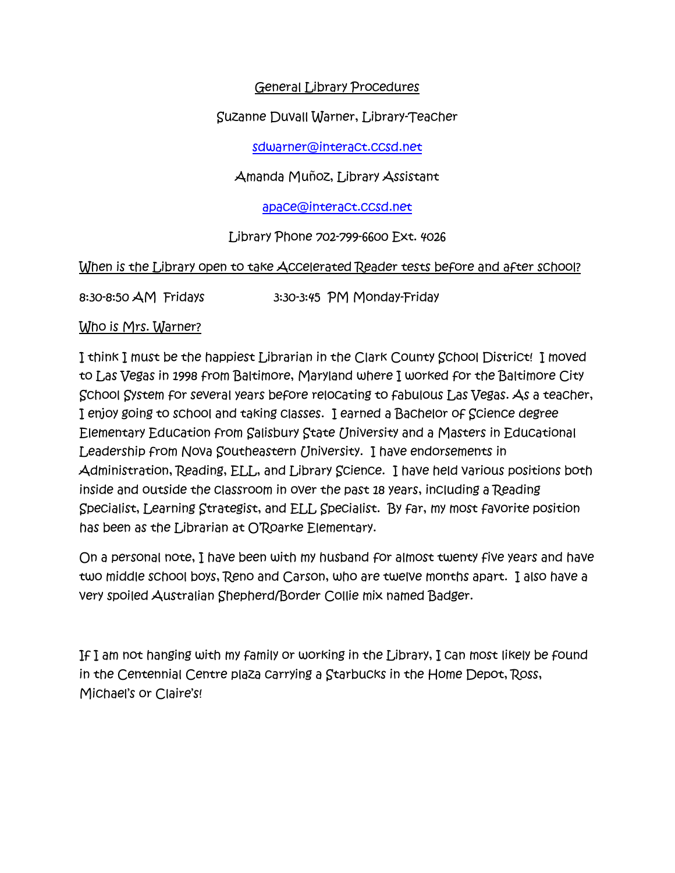# General Library Procedures

Suzanne Duvall Warner, Library-Teacher

[sdwarner@interact.ccsd.net](mailto:sdwarner@interact.ccsd.net)

Amanda Muñoz, Library Assistant

[apace@interact.ccsd.net](mailto:apace@interact.ccsd.net)

Library Phone 702-799-6600 Ext. 4026

When is the Library open to take Accelerated Reader tests before and after school?

8:30-8:50 AM Fridays 3:30-3:45 PM Monday-Friday

# Who is Mrs. Warner?

I think I must be the happiest Librarian in the Clark County School District! I moved to Las Vegas in 1998 from Baltimore, Maryland where I worked for the Baltimore City School System for several years before relocating to fabulous Las Vegas. As a teacher, I enjoy going to school and taking classes. I earned a Bachelor of Science degree Elementary Education from Salisbury State University and a Masters in Educational Leadership from Nova Southeastern University. I have endorsements in Administration, Reading, ELL, and Library Science. I have held various positions both inside and outside the classroom in over the past 18 years, including a Reading Specialist, Learning Strategist, and ELL Specialist. By far, my most favorite position has been as the Librarian at O'Roarke Elementary.

On a personal note, I have been with my husband for almost twenty five years and have two middle school boys, Reno and Carson, who are twelve months apart. I also have a very spoiled Australian Shepherd/Border Collie mix named Badger.

If I am not hanging with my family or working in the Library, I can most likely be found in the Centennial Centre plaza carrying a Starbucks in the Home Depot, Ross, Michael's or Claire's!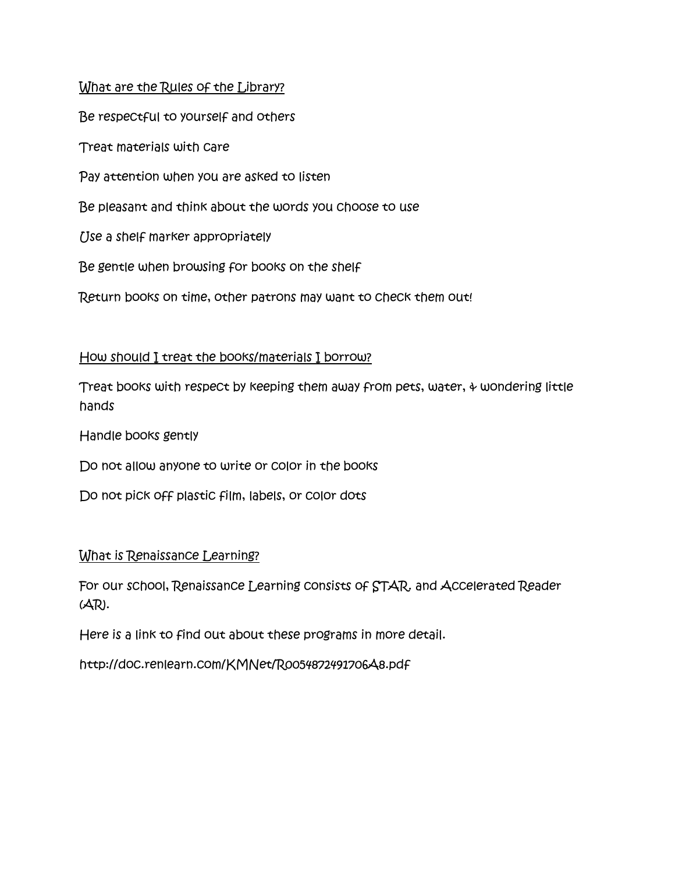#### What are the Rules of the Library?

Be respectful to yourself and others Treat materials with care Pay attention when you are asked to listen Be pleasant and think about the words you choose to use Use a shelf marker appropriately Be gentle when browsing for books on the shelf Return books on time, other patrons may want to check them out!

#### How should I treat the books/materials I borrow?

Treat books with respect by keeping them away from pets, water, & wondering little hands

Handle books gently

Do not allow anyone to write or color in the books

Do not pick off plastic film, labels, or color dots

#### What is Renaissance Learning?

For our school, Renaissance Learning consists of STAR. and Accelerated Reader (AR).

Here is a link to find out about these programs in more detail.

http://doc.renlearn.com/KMNet/R0054872491706A8.pdf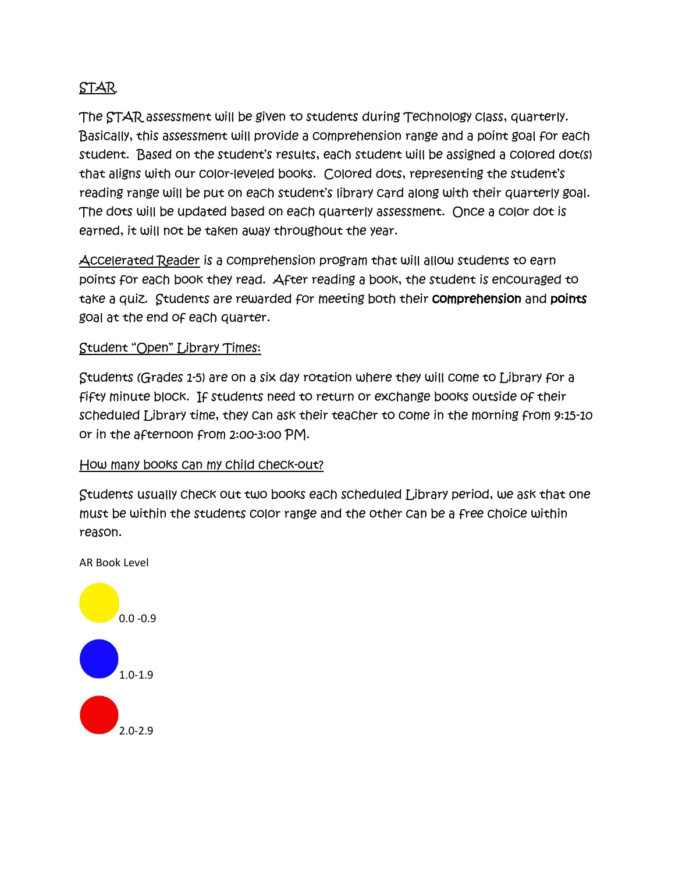# STAR

The STAR assessment will be given to students during Technology class, quarterly. Basically, this assessment will provide a comprehension range and a point goal for each student. Based on the student's results, each student will be assigned a colored dot(s) that aligns with our color-leveled books. Colored dots, representing the student's reading range will be put on each student's library card along with their quarterly goal. The dots will be updated based on each quarterly assessment. Once a color dot is earned, it will not be taken away throughout the year.

Accelerated Reader is a comprehension program that will allow students to earn points for each book they read. After reading a book, the student is encouraged to take a quiz. Students are rewarded for meeting both their comprehension and points goal at the end of each quarter.

# Student "Open" Library Times:

Students (Grades 1-5) are on a six day rotation where they will come to Library for a fifty minute block. If students need to return or exchange books outside of their scheduled Library time, they can ask their teacher to come in the morning from 9:15-10 or in the afternoon from 2:00-3:00 PM.

#### How many books can my child check-out?

Students usually check out two books each scheduled Library period, we ask that one must be within the students color range and the other can be a free choice within reason.

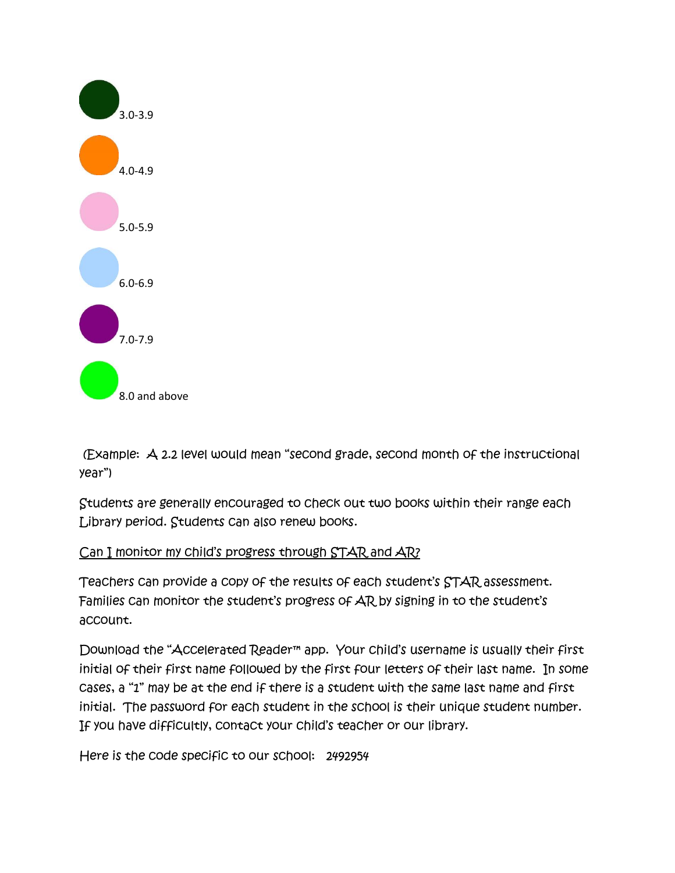

(Example: A 2.2 level would mean "second grade, second month of the instructional year")

Students are generally encouraged to check out two books within their range each Library period. Students can also renew books.

# Can I monitor my child's progress through STAR and AR?

Teachers can provide a copy of the results of each student's STAR assessment. Families can monitor the student's progress of AR by signing in to the student's account.

Download the "Accelerated Reader™ app. Your child's username is usually their first initial of their first name followed by the first four letters of their last name. In some cases, a "1" may be at the end if there is a student with the same last name and first initial. The password for each student in the school is their unique student number. If you have difficultly, contact your child's teacher or our library.

Here is the code specific to our school: 2492954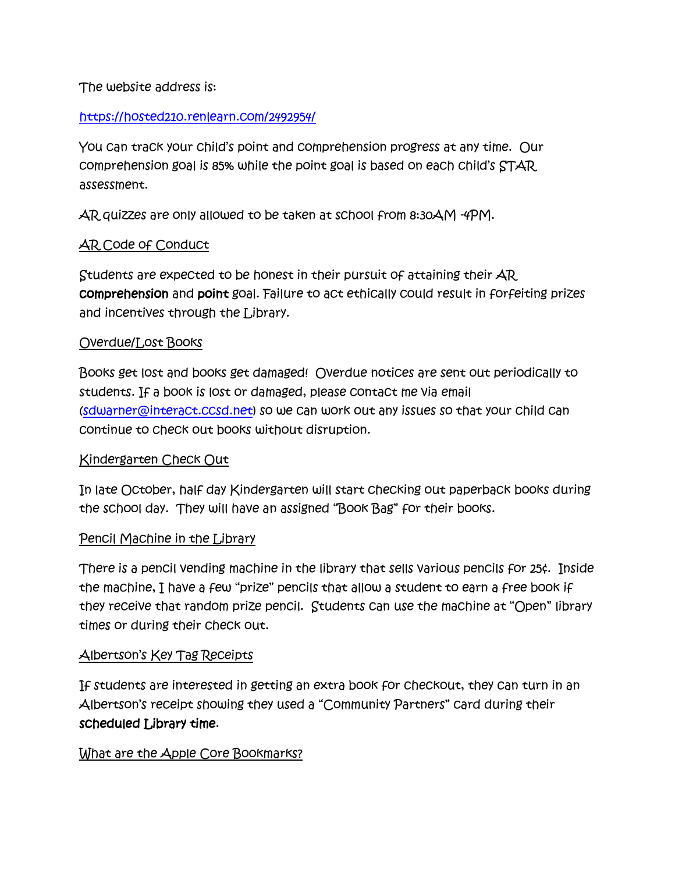The website address is:

# <https://hosted210.renlearn.com/2492954/>

You can track your child's point and comprehension progress at any time. Our comprehension goal is 85% while the point goal is based on each child's STAR assessment.

AR quizzes are only allowed to be taken at school from 8:30AM -4PM.

# AR Code of Conduct

Students are expected to be honest in their pursuit of attaining their AR comprehension and point goal. Failure to act ethically could result in forfeiting prizes and incentives through the Library.

#### Overdue/Lost Books

Books get lost and books get damaged! Overdue notices are sent out periodically to students. If a book is lost or damaged, please contact me via email [\(sdwarner@interact.ccsd.net\)](mailto:sdwarner@interact.ccsd.net) so we can work out any issues so that your child can continue to check out books without disruption.

#### Kindergarten Check Out

In late October, half day Kindergarten will start checking out paperback books during the school day. They will have an assigned "Book Bag" for their books.

#### Pencil Machine in the Library

There is a pencil vending machine in the library that sells various pencils for 25¢. Inside the machine, I have a few "prize" pencils that allow a student to earn a free book if they receive that random prize pencil. Students can use the machine at "Open" library times or during their check out.

#### Albertson's Key Tag Receipts

If students are interested in getting an extra book for checkout, they can turn in an Albertson's receipt showing they used a "Community Partners" card during their scheduled Library time.

#### What are the Apple Core Bookmarks?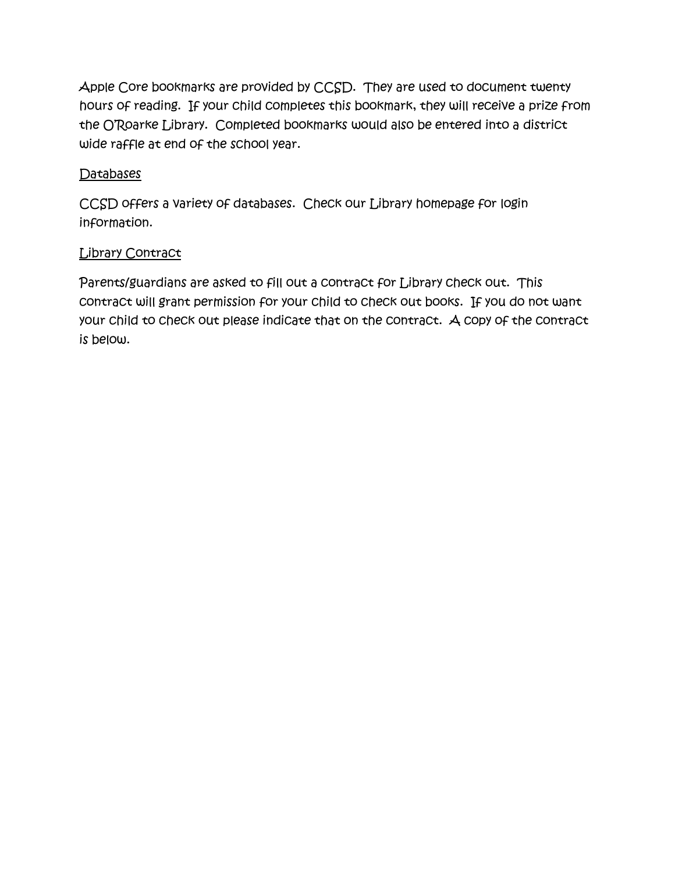Apple Core bookmarks are provided by CCSD. They are used to document twenty hours of reading. If your child completes this bookmark, they will receive a prize from the O'Roarke Library. Completed bookmarks would also be entered into a district wide raffle at end of the school year.

# Databases

CCSD offers a variety of databases. Check our Library homepage for login information.

# **Library Contract**

Parents/guardians are asked to fill out a contract for Library check out. This contract will grant permission for your child to check out books. If you do not want your child to check out please indicate that on the contract. A copy of the contract is below.